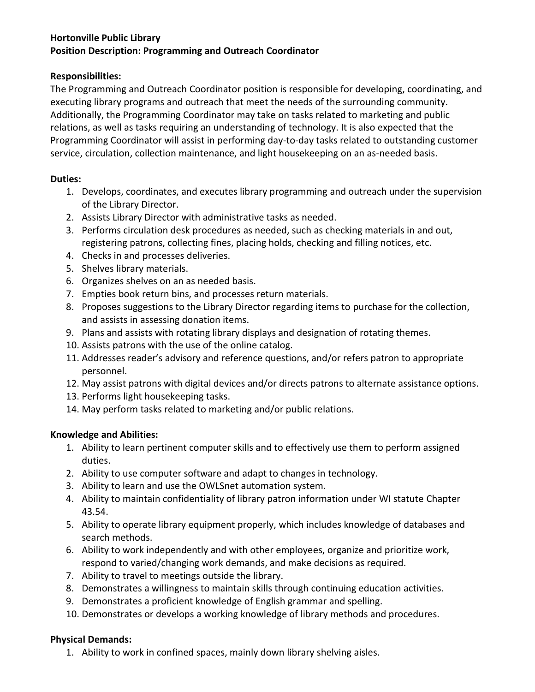# **Hortonville Public Library Position Description: Programming and Outreach Coordinator**

### **Responsibilities:**

The Programming and Outreach Coordinator position is responsible for developing, coordinating, and executing library programs and outreach that meet the needs of the surrounding community. Additionally, the Programming Coordinator may take on tasks related to marketing and public relations, as well as tasks requiring an understanding of technology. It is also expected that the Programming Coordinator will assist in performing day-to-day tasks related to outstanding customer service, circulation, collection maintenance, and light housekeeping on an as-needed basis.

### **Duties:**

- 1. Develops, coordinates, and executes library programming and outreach under the supervision of the Library Director.
- 2. Assists Library Director with administrative tasks as needed.
- 3. Performs circulation desk procedures as needed, such as checking materials in and out, registering patrons, collecting fines, placing holds, checking and filling notices, etc.
- 4. Checks in and processes deliveries.
- 5. Shelves library materials.
- 6. Organizes shelves on an as needed basis.
- 7. Empties book return bins, and processes return materials.
- 8. Proposes suggestions to the Library Director regarding items to purchase for the collection, and assists in assessing donation items.
- 9. Plans and assists with rotating library displays and designation of rotating themes.
- 10. Assists patrons with the use of the online catalog.
- 11. Addresses reader's advisory and reference questions, and/or refers patron to appropriate personnel.
- 12. May assist patrons with digital devices and/or directs patrons to alternate assistance options.
- 13. Performs light housekeeping tasks.
- 14. May perform tasks related to marketing and/or public relations.

# **Knowledge and Abilities:**

- 1. Ability to learn pertinent computer skills and to effectively use them to perform assigned duties.
- 2. Ability to use computer software and adapt to changes in technology.
- 3. Ability to learn and use the OWLSnet automation system.
- 4. Ability to maintain confidentiality of library patron information under WI statute Chapter 43.54.
- 5. Ability to operate library equipment properly, which includes knowledge of databases and search methods.
- 6. Ability to work independently and with other employees, organize and prioritize work, respond to varied/changing work demands, and make decisions as required.
- 7. Ability to travel to meetings outside the library.
- 8. Demonstrates a willingness to maintain skills through continuing education activities.
- 9. Demonstrates a proficient knowledge of English grammar and spelling.
- 10. Demonstrates or develops a working knowledge of library methods and procedures.

# **Physical Demands:**

1. Ability to work in confined spaces, mainly down library shelving aisles.